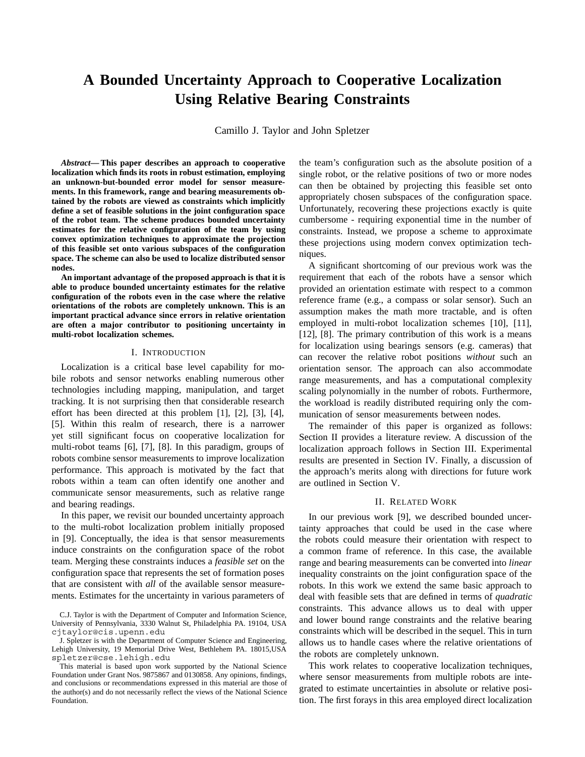# **A Bounded Uncertainty Approach to Cooperative Localization Using Relative Bearing Constraints**

Camillo J. Taylor and John Spletzer

*Abstract***— This paper describes an approach to cooperative localization which finds its roots in robust estimation, employing an unknown-but-bounded error model for sensor measurements. In this framework, range and bearing measurements obtained by the robots are viewed as constraints which implicitly define a set of feasible solutions in the joint configuration space of the robot team. The scheme produces bounded uncertainty estimates for the relative configuration of the team by using convex optimization techniques to approximate the projection of this feasible set onto various subspaces of the configuration space. The scheme can also be used to localize distributed sensor nodes.**

**An important advantage of the proposed approach is that it is able to produce bounded uncertainty estimates for the relative configuration of the robots even in the case where the relative orientations of the robots are completely unknown. This is an important practical advance since errors in relative orientation are often a major contributor to positioning uncertainty in multi-robot localization schemes.**

## I. INTRODUCTION

Localization is a critical base level capability for mobile robots and sensor networks enabling numerous other technologies including mapping, manipulation, and target tracking. It is not surprising then that considerable research effort has been directed at this problem [1], [2], [3], [4], [5]. Within this realm of research, there is a narrower yet still significant focus on cooperative localization for multi-robot teams [6], [7], [8]. In this paradigm, groups of robots combine sensor measurements to improve localization performance. This approach is motivated by the fact that robots within a team can often identify one another and communicate sensor measurements, such as relative range and bearing readings.

In this paper, we revisit our bounded uncertainty approach to the multi-robot localization problem initially proposed in [9]. Conceptually, the idea is that sensor measurements induce constraints on the configuration space of the robot team. Merging these constraints induces a *feasible set* on the configuration space that represents the set of formation poses that are consistent with *all* of the available sensor measurements. Estimates for the uncertainty in various parameters of the team's configuration such as the absolute position of a single robot, or the relative positions of two or more nodes can then be obtained by projecting this feasible set onto appropriately chosen subspaces of the configuration space. Unfortunately, recovering these projections exactly is quite cumbersome - requiring exponential time in the number of constraints. Instead, we propose a scheme to approximate these projections using modern convex optimization techniques.

A significant shortcoming of our previous work was the requirement that each of the robots have a sensor which provided an orientation estimate with respect to a common reference frame (e.g., a compass or solar sensor). Such an assumption makes the math more tractable, and is often employed in multi-robot localization schemes [10], [11], [12], [8]. The primary contribution of this work is a means for localization using bearings sensors (e.g. cameras) that can recover the relative robot positions *without* such an orientation sensor. The approach can also accommodate range measurements, and has a computational complexity scaling polynomially in the number of robots. Furthermore, the workload is readily distributed requiring only the communication of sensor measurements between nodes.

The remainder of this paper is organized as follows: Section II provides a literature review. A discussion of the localization approach follows in Section III. Experimental results are presented in Section IV. Finally, a discussion of the approach's merits along with directions for future work are outlined in Section V.

#### II. RELATED WORK

In our previous work [9], we described bounded uncertainty approaches that could be used in the case where the robots could measure their orientation with respect to a common frame of reference. In this case, the available range and bearing measurements can be converted into *linear* inequality constraints on the joint configuration space of the robots. In this work we extend the same basic approach to deal with feasible sets that are defined in terms of *quadratic* constraints. This advance allows us to deal with upper and lower bound range constraints and the relative bearing constraints which will be described in the sequel. This in turn allows us to handle cases where the relative orientations of the robots are completely unknown.

This work relates to cooperative localization techniques, where sensor measurements from multiple robots are integrated to estimate uncertainties in absolute or relative position. The first forays in this area employed direct localization

C.J. Taylor is with the Department of Computer and Information Science, University of Pennsylvania, 3330 Walnut St, Philadelphia PA. 19104, USA cjtaylor@cis.upenn.edu

J. Spletzer is with the Department of Computer Science and Engineering, Lehigh University, 19 Memorial Drive West, Bethlehem PA. 18015,USA spletzer@cse.lehigh.edu

This material is based upon work supported by the National Science Foundation under Grant Nos. 9875867 and 0130858. Any opinions, findings, and conclusions or recommendations expressed in this material are those of the author(s) and do not necessarily reflect the views of the National Science Foundation.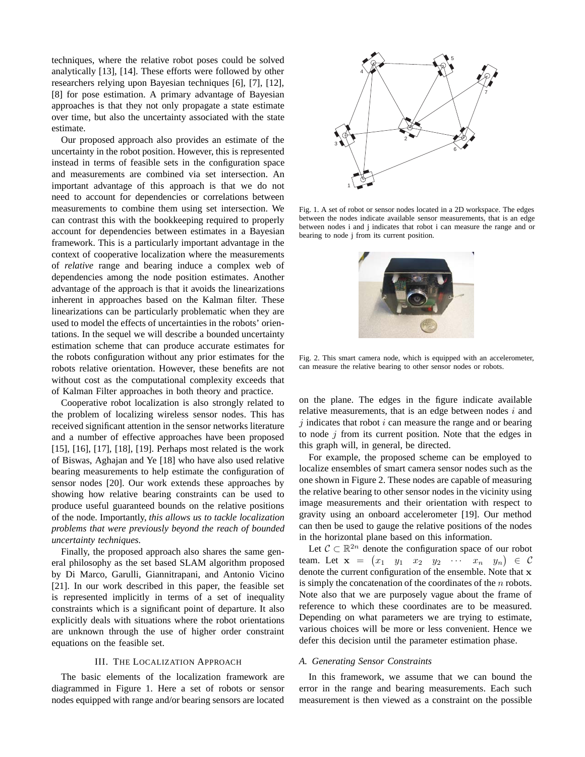techniques, where the relative robot poses could be solved analytically [13], [14]. These efforts were followed by other researchers relying upon Bayesian techniques [6], [7], [12], [8] for pose estimation. A primary advantage of Bayesian approaches is that they not only propagate a state estimate over time, but also the uncertainty associated with the state estimate.

Our proposed approach also provides an estimate of the uncertainty in the robot position. However, this is represented instead in terms of feasible sets in the configuration space and measurements are combined via set intersection. An important advantage of this approach is that we do not need to account for dependencies or correlations between measurements to combine them using set intersection. We can contrast this with the bookkeeping required to properly account for dependencies between estimates in a Bayesian framework. This is a particularly important advantage in the context of cooperative localization where the measurements of *relative* range and bearing induce a complex web of dependencies among the node position estimates. Another advantage of the approach is that it avoids the linearizations inherent in approaches based on the Kalman filter. These linearizations can be particularly problematic when they are used to model the effects of uncertainties in the robots' orientations. In the sequel we will describe a bounded uncertainty estimation scheme that can produce accurate estimates for the robots configuration without any prior estimates for the robots relative orientation. However, these benefits are not without cost as the computational complexity exceeds that of Kalman Filter approaches in both theory and practice.

Cooperative robot localization is also strongly related to the problem of localizing wireless sensor nodes. This has received significant attention in the sensor networks literature and a number of effective approaches have been proposed [15], [16], [17], [18], [19]. Perhaps most related is the work of Biswas, Aghajan and Ye [18] who have also used relative bearing measurements to help estimate the configuration of sensor nodes [20]. Our work extends these approaches by showing how relative bearing constraints can be used to produce useful guaranteed bounds on the relative positions of the node. Importantly, *this allows us to tackle localization problems that were previously beyond the reach of bounded uncertainty techniques.*

Finally, the proposed approach also shares the same general philosophy as the set based SLAM algorithm proposed by Di Marco, Garulli, Giannitrapani, and Antonio Vicino [21]. In our work described in this paper, the feasible set is represented implicitly in terms of a set of inequality constraints which is a significant point of departure. It also explicitly deals with situations where the robot orientations are unknown through the use of higher order constraint equations on the feasible set.

#### III. THE LOCALIZATION APPROACH

The basic elements of the localization framework are diagrammed in Figure 1. Here a set of robots or sensor nodes equipped with range and/or bearing sensors are located



Fig. 1. A set of robot or sensor nodes located in a 2D workspace. The edges between the nodes indicate available sensor measurements, that is an edge between nodes i and j indicates that robot i can measure the range and or bearing to node j from its current position.



Fig. 2. This smart camera node, which is equipped with an accelerometer, can measure the relative bearing to other sensor nodes or robots.

on the plane. The edges in the figure indicate available relative measurements, that is an edge between nodes  $i$  and  $i$  indicates that robot  $i$  can measure the range and or bearing to node  $j$  from its current position. Note that the edges in this graph will, in general, be directed.

For example, the proposed scheme can be employed to localize ensembles of smart camera sensor nodes such as the one shown in Figure 2. These nodes are capable of measuring the relative bearing to other sensor nodes in the vicinity using image measurements and their orientation with respect to gravity using an onboard accelerometer [19]. Our method can then be used to gauge the relative positions of the nodes in the horizontal plane based on this information.

Let  $C \subset \mathbb{R}^{2n}$  denote the configuration space of our robot team. Let  $\mathbf{x} = \begin{pmatrix} x_1 & y_1 & x_2 & y_2 & \cdots & x_n & y_n \end{pmatrix} \in \mathcal{C}$ <br>denote the current configuration of the ensemble. Note that **x** denote the current configuration of the ensemble. Note that **x** is simply the concatenation of the coordinates of the  $n$  robots. Note also that we are purposely vague about the frame of reference to which these coordinates are to be measured. Depending on what parameters we are trying to estimate, various choices will be more or less convenient. Hence we defer this decision until the parameter estimation phase.

## *A. Generating Sensor Constraints*

In this framework, we assume that we can bound the error in the range and bearing measurements. Each such measurement is then viewed as a constraint on the possible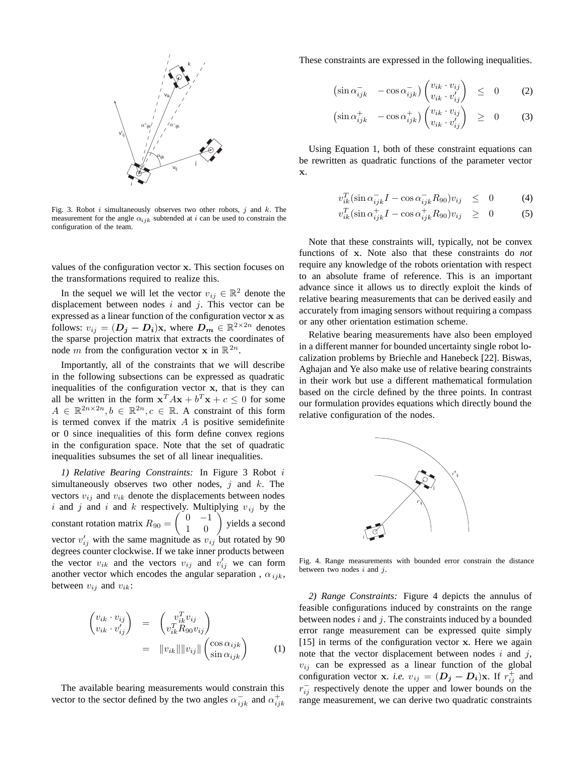

Fig. 3. Robot i simultaneously observes two other robots, j and k. The measurement for the angle  $\alpha_{ijk}$  subtended at i can be used to constrain the configuration of the team.

values of the configuration vector **x**. This section focuses on the transformations required to realize this.

In the sequel we will let the vector  $v_{ij} \in \mathbb{R}^2$  denote the displacement between nodes  $i$  and  $j$ . This vector can be expressed as a linear function of the configuration vector **x** as follows:  $v_{ij} = (D_j - D_i)x$ , where  $D_m \in \mathbb{R}^{2 \times 2n}$  denotes the sparse projection matrix that extracts the coordinates of node m from the configuration vector **x** in  $\mathbb{R}^{2n}$ .

Importantly, all of the constraints that we will describe in the following subsections can be expressed as quadratic inequalities of the configuration vector **x**, that is they can all be written in the form  $\mathbf{x}^T A \mathbf{x} + b^T \mathbf{x} + c \leq 0$  for some  $A \in \mathbb{R}^{2n \times 2n}, b \in \mathbb{R}^{2n}, c \in \mathbb{R}$ . A constraint of this form is termed convex if the matrix  $A$  is positive semidefinite or 0 since inequalities of this form define convex regions in the configuration space. Note that the set of quadratic inequalities subsumes the set of all linear inequalities.

*1) Relative Bearing Constraints:* In Figure 3 Robot i simultaneously observes two other nodes,  $j$  and  $k$ . The vectors  $v_{ij}$  and  $v_{ik}$  denote the displacements between nodes  $i$  and  $j$  and  $i$  and  $k$  respectively. Multiplying  $v_{ij}$  by the constant rotation matrix  $R_{90} = \begin{pmatrix} 0 & -1 \\ 1 & 0 \end{pmatrix}$  yields a second vector  $v'_{ij}$  with the same magnitude as  $v_{ij}$  but rotated by 90<br>degrees counter clockwise. If we take inner products between degrees counter clockwise. If we take inner products between the vector  $v_{ik}$  and the vectors  $v_{ij}$  and  $v'_{ij}$  we can form another vector which encodes the angular separation,  $\alpha_{ijk}$ , between  $v_{ij}$  and  $v_{ik}$ :

$$
\begin{pmatrix} v_{ik} \cdot v_{ij} \\ v_{ik} \cdot v'_{ij} \end{pmatrix} = \begin{pmatrix} v_{ik}^T v_{ij} \\ v_{ik}^T R_{90} v_{ij} \end{pmatrix}
$$
  
=  $||v_{ik}|| ||v_{ij}|| \begin{pmatrix} \cos \alpha_{ijk} \\ \sin \alpha_{ijk} \end{pmatrix}$  (1)

The available bearing measurements would constrain this vector to the sector defined by the two angles  $\alpha_{ijk}^-$  and  $\alpha_{ijk}^+$  These constraints are expressed in the following inequalities.

$$
\begin{pmatrix}\n\sin \alpha_{ijk}^- & -\cos \alpha_{ijk}^- \\
v_{ik} & v'_{ij}\n\end{pmatrix}\n\begin{pmatrix}\n\cos v_i & v_{ij} \\
\sin v_i & v'_{ij}\n\end{pmatrix} \leq 0
$$
\n(2)

$$
\begin{pmatrix}\n\sin \alpha_{ijk}^+ & -\cos \alpha_{ijk}^+\n\end{pmatrix}\n\begin{pmatrix}\nv_{ik} \cdot v_{ij} \\
v_{ik} \cdot v_{ij}'\n\end{pmatrix} \geq 0
$$
\n(3)

Using Equation 1, both of these constraint equations can be rewritten as quadratic functions of the parameter vector **x**.

$$
v_{ik}^T (\sin \alpha_{ijk}^- I - \cos \alpha_{ijk}^- R_{90}) v_{ij} \leq 0 \tag{4}
$$

$$
v_{ik}^T (\sin \alpha_{ijk}^+ I - \cos \alpha_{ijk}^+ R_{90}) v_{ij} \geq 0 \tag{5}
$$

Note that these constraints will, typically, not be convex functions of **x**. Note also that these constraints do *not* require any knowledge of the robots orientation with respect to an absolute frame of reference. This is an important advance since it allows us to directly exploit the kinds of relative bearing measurements that can be derived easily and accurately from imaging sensors without requiring a compass or any other orientation estimation scheme.

Relative bearing measurements have also been employed in a different manner for bounded uncertainty single robot localization problems by Briechle and Hanebeck [22]. Biswas, Aghajan and Ye also make use of relative bearing constraints in their work but use a different mathematical formulation based on the circle defined by the three points. In contrast our formulation provides equations which directly bound the relative configuration of the nodes.



Fig. 4. Range measurements with bounded error constrain the distance between two nodes  $i$  and  $j$ .

*2) Range Constraints:* Figure 4 depicts the annulus of feasible configurations induced by constraints on the range between nodes  $i$  and  $j$ . The constraints induced by a bounded error range measurement can be expressed quite simply [15] in terms of the configuration vector **x**. Here we again note that the vector displacement between nodes  $i$  and  $j$ ,  $v_{ij}$  can be expressed as a linear function of the global configuration vector **x**. *i.e.*  $v_{ij} = (D_j - D_i)x$ . If  $r_{ij}^+$  and  $r_{ij}^-$  respectively denote the upper and lower bounds on the  $r_{ij}^-$  respectively denote the upper and lower bounds on the range measurement, we can derive two quadratic constraints range measurement, we can derive two quadratic constraints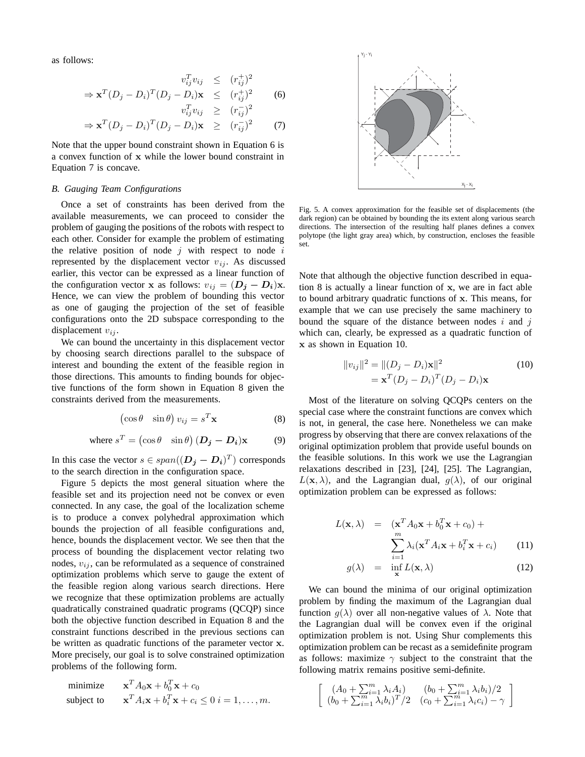as follows:

$$
v_{ij}^T v_{ij} \leq (r_{ij}^+)^2
$$
  
\n
$$
\Rightarrow \mathbf{x}^T (D_j - D_i)^T (D_j - D_i) \mathbf{x} \leq (r_{ij}^+)^2
$$
(6)  
\n
$$
v_{ij}^T v_{ij} \geq (r_{ij}^-)^2
$$
  
\n
$$
\Rightarrow \mathbf{x}^T (D_j - D_i)^T (D_j - D_i) \mathbf{x} \geq (r_{ij}^-)^2
$$
(7)

Note that the upper bound constraint shown in Equation 6 is a convex function of **x** while the lower bound constraint in Equation 7 is concave.

## *B. Gauging Team Configurations*

Once a set of constraints has been derived from the available measurements, we can proceed to consider the problem of gauging the positions of the robots with respect to each other. Consider for example the problem of estimating the relative position of node  $j$  with respect to node  $i$ represented by the displacement vector  $v_{ij}$ . As discussed earlier, this vector can be expressed as a linear function of the configuration vector **x** as follows:  $v_{ij} = (D_j - D_i)x$ . Hence, we can view the problem of bounding this vector as one of gauging the projection of the set of feasible configurations onto the 2D subspace corresponding to the displacement <sup>v</sup>*ij* .

We can bound the uncertainty in this displacement vector by choosing search directions parallel to the subspace of interest and bounding the extent of the feasible region in those directions. This amounts to finding bounds for objective functions of the form shown in Equation 8 given the constraints derived from the measurements.

$$
\left(\cos\theta \quad \sin\theta\right)v_{ij} = s^T \mathbf{x} \tag{8}
$$

where 
$$
s^T = (\cos \theta \sin \theta) (D_j - D_i)x
$$
 (9)

In this case the vector *s* ∈ *span*( $(D_j - D_i)^T$ ) corresponds to the search direction in the configuration space.

Figure 5 depicts the most general situation where the feasible set and its projection need not be convex or even connected. In any case, the goal of the localization scheme is to produce a convex polyhedral approximation which bounds the projection of all feasible configurations and, hence, bounds the displacement vector. We see then that the process of bounding the displacement vector relating two nodes, <sup>v</sup>*ij* , can be reformulated as a sequence of constrained optimization problems which serve to gauge the extent of the feasible region along various search directions. Here we recognize that these optimization problems are actually quadratically constrained quadratic programs (QCQP) since both the objective function described in Equation 8 and the constraint functions described in the previous sections can be written as quadratic functions of the parameter vector **x**. More precisely, our goal is to solve constrained optimization problems of the following form.

minimize  $\mathbf{x}^T A_0 \mathbf{x} + b_0^T \mathbf{x} + c_0$ subject to  $\mathbf{x}^T A_i \mathbf{x} + b_i^T \mathbf{x} + c_i \leq 0 \quad i = 1, ..., m.$ 



Fig. 5. A convex approximation for the feasible set of displacements (the dark region) can be obtained by bounding the its extent along various search directions. The intersection of the resulting half planes defines a convex polytope (the light gray area) which, by construction, encloses the feasible set.

Note that although the objective function described in equation 8 is actually a linear function of **x**, we are in fact able to bound arbitrary quadratic functions of **x**. This means, for example that we can use precisely the same machinery to bound the square of the distance between nodes  $i$  and  $j$ which can, clearly, be expressed as a quadratic function of **x** as shown in Equation 10.

$$
||v_{ij}||^2 = ||(D_j - D_i)\mathbf{x}||^2
$$
  
=  $\mathbf{x}^T (D_j - D_i)^T (D_j - D_i)\mathbf{x}$  (10)

Most of the literature on solving QCQPs centers on the special case where the constraint functions are convex which is not, in general, the case here. Nonetheless we can make progress by observing that there are convex relaxations of the original optimization problem that provide useful bounds on the feasible solutions. In this work we use the Lagrangian relaxations described in [23], [24], [25]. The Lagrangian,  $L(\mathbf{x}, \lambda)$ , and the Lagrangian dual,  $g(\lambda)$ , of our original optimization problem can be expressed as follows:

$$
L(\mathbf{x}, \lambda) = (\mathbf{x}^T A_0 \mathbf{x} + b_0^T \mathbf{x} + c_0) +
$$

$$
\sum_{i=1}^m \lambda_i (\mathbf{x}^T A_i \mathbf{x} + b_i^T \mathbf{x} + c_i) \qquad (11)
$$

$$
g(\lambda) = \inf_{\mathbf{x}} L(\mathbf{x}, \lambda) \tag{12}
$$

We can bound the minima of our original optimization problem by finding the maximum of the Lagrangian dual function  $q(\lambda)$  over all non-negative values of  $\lambda$ . Note that the Lagrangian dual will be convex even if the original optimization problem is not. Using Shur complements this optimization problem can be recast as a semidefinite program as follows: maximize  $\gamma$  subject to the constraint that the following matrix remains positive semi-definite.

$$
\begin{bmatrix}\n(A_0 + \sum_{i=1}^m \lambda_i A_i) & (b_0 + \sum_{i=1}^m \lambda_i b_i)/2 \\
(b_0 + \sum_{i=1}^m \lambda_i b_i)^T/2 & (c_0 + \sum_{i=1}^m \lambda_i c_i) - \gamma\n\end{bmatrix}
$$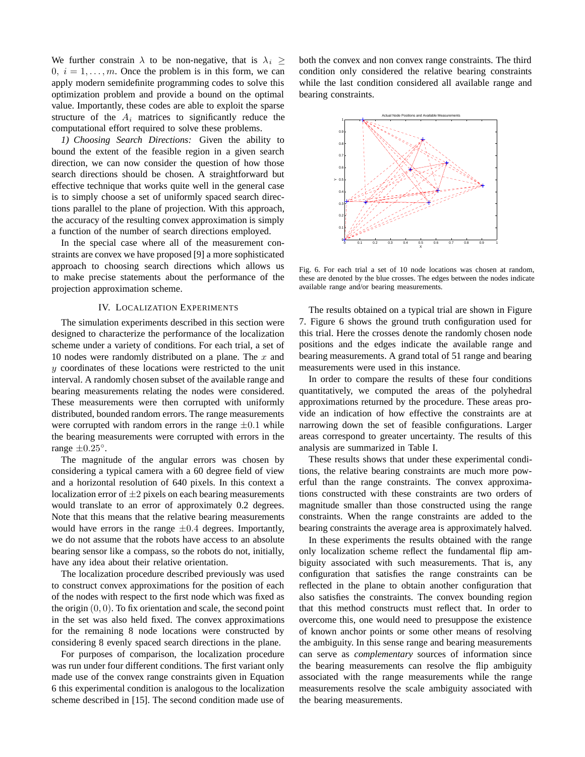We further constrain  $\lambda$  to be non-negative, that is  $\lambda_i \geq$  $0, i = 1, \ldots, m$ . Once the problem is in this form, we can apply modern semidefinite programming codes to solve this optimization problem and provide a bound on the optimal value. Importantly, these codes are able to exploit the sparse structure of the  $A_i$  matrices to significantly reduce the computational effort required to solve these problems.

*1) Choosing Search Directions:* Given the ability to bound the extent of the feasible region in a given search direction, we can now consider the question of how those search directions should be chosen. A straightforward but effective technique that works quite well in the general case is to simply choose a set of uniformly spaced search directions parallel to the plane of projection. With this approach, the accuracy of the resulting convex approximation is simply a function of the number of search directions employed.

In the special case where all of the measurement constraints are convex we have proposed [9] a more sophisticated approach to choosing search directions which allows us to make precise statements about the performance of the projection approximation scheme.

#### IV. LOCALIZATION EXPERIMENTS

The simulation experiments described in this section were designed to characterize the performance of the localization scheme under a variety of conditions. For each trial, a set of 10 nodes were randomly distributed on a plane. The  $x$  and y coordinates of these locations were restricted to the unit interval. A randomly chosen subset of the available range and bearing measurements relating the nodes were considered. These measurements were then corrupted with uniformly distributed, bounded random errors. The range measurements were corrupted with random errors in the range  $\pm 0.1$  while the bearing measurements were corrupted with errors in the range  $\pm 0.25^\circ$ .

The magnitude of the angular errors was chosen by considering a typical camera with a 60 degree field of view and a horizontal resolution of 640 pixels. In this context a localization error of  $\pm 2$  pixels on each bearing measurements would translate to an error of approximately 0.2 degrees. Note that this means that the relative bearing measurements would have errors in the range  $\pm 0.4$  degrees. Importantly, we do not assume that the robots have access to an absolute bearing sensor like a compass, so the robots do not, initially, have any idea about their relative orientation.

The localization procedure described previously was used to construct convex approximations for the position of each of the nodes with respect to the first node which was fixed as the origin  $(0, 0)$ . To fix orientation and scale, the second point in the set was also held fixed. The convex approximations for the remaining 8 node locations were constructed by considering 8 evenly spaced search directions in the plane.

For purposes of comparison, the localization procedure was run under four different conditions. The first variant only made use of the convex range constraints given in Equation 6 this experimental condition is analogous to the localization scheme described in [15]. The second condition made use of both the convex and non convex range constraints. The third condition only considered the relative bearing constraints while the last condition considered all available range and bearing constraints.



Fig. 6. For each trial a set of 10 node locations was chosen at random, these are denoted by the blue crosses. The edges between the nodes indicate available range and/or bearing measurements.

The results obtained on a typical trial are shown in Figure 7. Figure 6 shows the ground truth configuration used for this trial. Here the crosses denote the randomly chosen node positions and the edges indicate the available range and bearing measurements. A grand total of 51 range and bearing measurements were used in this instance.

In order to compare the results of these four conditions quantitatively, we computed the areas of the polyhedral approximations returned by the procedure. These areas provide an indication of how effective the constraints are at narrowing down the set of feasible configurations. Larger areas correspond to greater uncertainty. The results of this analysis are summarized in Table I.

These results shows that under these experimental conditions, the relative bearing constraints are much more powerful than the range constraints. The convex approximations constructed with these constraints are two orders of magnitude smaller than those constructed using the range constraints. When the range constraints are added to the bearing constraints the average area is approximately halved.

In these experiments the results obtained with the range only localization scheme reflect the fundamental flip ambiguity associated with such measurements. That is, any configuration that satisfies the range constraints can be reflected in the plane to obtain another configuration that also satisfies the constraints. The convex bounding region that this method constructs must reflect that. In order to overcome this, one would need to presuppose the existence of known anchor points or some other means of resolving the ambiguity. In this sense range and bearing measurements can serve as *complementary* sources of information since the bearing measurements can resolve the flip ambiguity associated with the range measurements while the range measurements resolve the scale ambiguity associated with the bearing measurements.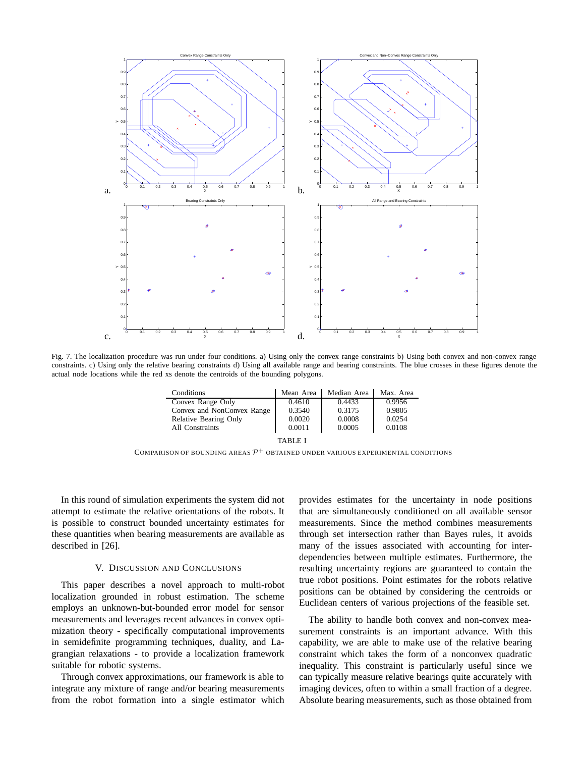

Fig. 7. The localization procedure was run under four conditions. a) Using only the convex range constraints b) Using both convex and non-convex range constraints. c) Using only the relative bearing constraints d) Using all available range and bearing constraints. The blue crosses in these figures denote the actual node locations while the red xs denote the centroids of the bounding polygons.

| Conditions                 | Mean Area | Median Area | Max. Area |
|----------------------------|-----------|-------------|-----------|
| Convex Range Only          | 0.4610    | 0.4433      | 0.9956    |
| Convex and NonConvex Range | 0.3540    | 0.3175      | 0.9805    |
| Relative Bearing Only      | 0.0020    | 0.0008      | 0.0254    |
| All Constraints            | 0.0011    | 0.0005      | 0.0108    |
|                            |           |             |           |

TABLE I

COMPARISON OF BOUNDING AREAS *<sup>P</sup>*<sup>+</sup> OBTAINED UNDER VARIOUS EXPERIMENTAL CONDITIONS

In this round of simulation experiments the system did not attempt to estimate the relative orientations of the robots. It is possible to construct bounded uncertainty estimates for these quantities when bearing measurements are available as described in [26].

## V. DISCUSSION AND CONCLUSIONS

This paper describes a novel approach to multi-robot localization grounded in robust estimation. The scheme employs an unknown-but-bounded error model for sensor measurements and leverages recent advances in convex optimization theory - specifically computational improvements in semidefinite programming techniques, duality, and Lagrangian relaxations - to provide a localization framework suitable for robotic systems.

Through convex approximations, our framework is able to integrate any mixture of range and/or bearing measurements from the robot formation into a single estimator which provides estimates for the uncertainty in node positions that are simultaneously conditioned on all available sensor measurements. Since the method combines measurements through set intersection rather than Bayes rules, it avoids many of the issues associated with accounting for interdependencies between multiple estimates. Furthermore, the resulting uncertainty regions are guaranteed to contain the true robot positions. Point estimates for the robots relative positions can be obtained by considering the centroids or Euclidean centers of various projections of the feasible set.

The ability to handle both convex and non-convex measurement constraints is an important advance. With this capability, we are able to make use of the relative bearing constraint which takes the form of a nonconvex quadratic inequality. This constraint is particularly useful since we can typically measure relative bearings quite accurately with imaging devices, often to within a small fraction of a degree. Absolute bearing measurements, such as those obtained from